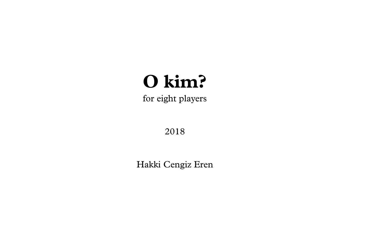

for eight players

2018

Hakki Cengiz Eren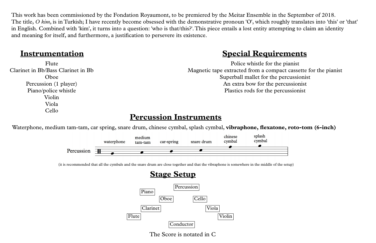This work has been commissioned by the Fondation Royaumont, to be premiered by the Meitar Ensemble in the September of 2018. The title, *O kim,* is in Turkish; I have recently become obsessed with the demonstrative pronoun 'O' , which roughly translates into 'this' or 'that' in English. Combined with 'kim' , it turns into a question: 'who is that/this?'.This piece entails a lost entity attempting to claim an identity and meaning for itself, and furthermore, a justification to persevere its existence.

Flute Clarinet in Bb/Bass Clarinet in Bb Oboe Percussion (1 player) Piano/police whistle Violin Viola Cello

Waterphone, medium tam-tam, car spring, snare drum, chinese cymbal, splash cymbal, **vibraphone, flexatone, roto-tom (6-inch)**



(it is recommended that all the cymbals and the snare drum are close together and that the vibraphone is somewhere in the middle of the setup)

Police whistle for the pianist Magnetic tape extracted from a compact cassette for the pianist Superball mallet for the percussionist An extra bow for the percussionist Plastics rods for the percussionist



| J |
|---|
|   |
|   |
|   |

# **Instrumentation**

## **Percussion Instruments**

# **Special Requirements**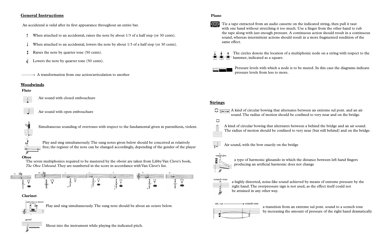### **Strings**

#### **Piano**

## $\overline{\text{O}(\text{O})}$

### **Woodwinds**

- When attached to an accidental, raises the note by about 1/3 of a half step (or 30 cents).
- When attached to an accidental, lowers the note by about 1/3 of a half step (or 30 cents).
- Raises the note by quarter tone (50 cents).<br>Lowers the note by quarter tone (50 cents).
- 

### **General Instructions**

An accidental is valid after its first appearance throughout an entire bar.

A transformation from one action/articulation to another

### **Flute**



### **Clarinet**



mmm

#### **Oboe**

The seven multiphonics required to be mastered by the oboist are taken from Libby Van Cleve's book, *The Oboe Unbound*.They are numbered in the score in accordance with Van Cleve's list.



Air sound with closed embouchure



懂

Air sound with open embouchure

Simultaneous sounding of overtones with respect to the fundamental given in parenthesis, violent.

Play and sing simultaneously.The sung notes given below should be conceived as relatively free; the register of the note can be changed accordingly, depending of the gender of the player  $\bigcirc$   $\overrightarrow{f}$   $\overrightarrow{f}$  A kind of circular bowing that alternates between an extreme sul pont. and an air sound.The radius of motion should be confined to very near and on the bridge.

A kind of circular bowing that alternates between a behind the bridge and an air sound. The radius of motion should be confined to very near (but still behind) and on the bridge.

a type of harmonic glissando in which the distance between left hand fingers

Play and sing simultaneously.The sung note should be about an octave below.

Shout into the instrument while playing the indicated pitch.

a transition from an extreme sul pont. sound to a scratch tone by increasing the amount of pressure of the right hand dramatically

Tie a tape extracted from an audio cassette on the indicated string, then pull it taut with one hand without stretching it too much. Use a finger from the other hand to rub the tape along with just enough pressure. A continuous action should result in a continuous sound, whereas intermittent actions should result in a more fragmented rendition of the same effect.

The circles denote the location of a multiphonic node on a string with respect to the hammer, indicated as a square.



Pressure levels with which a node is to be muted. In this case the diagrams indicate pressure levels from less to more.



a highly distorted, noise-like sound achieved by means of extreme pressure by the right hand.The overpressure sign is not used, as the effect itself could not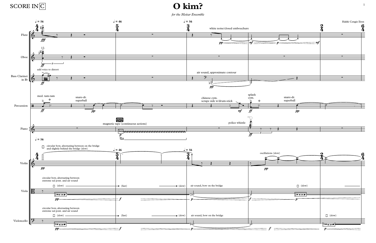

# SCORE IN  $\boxed{\text{C}}$

*for the Meitar Ensemble*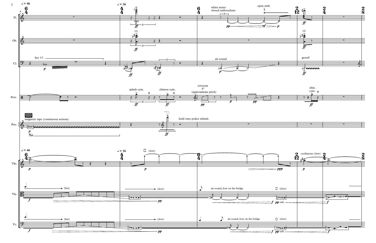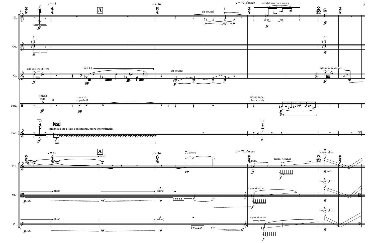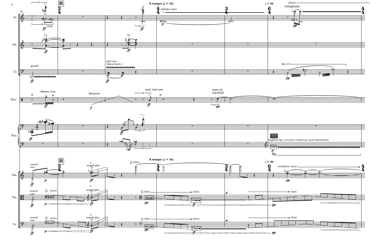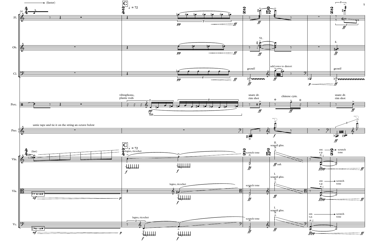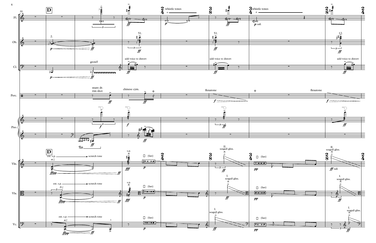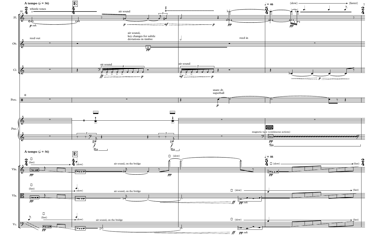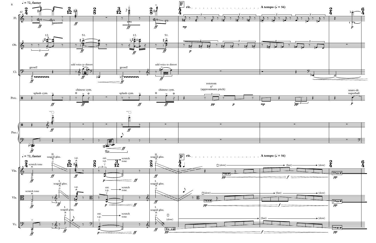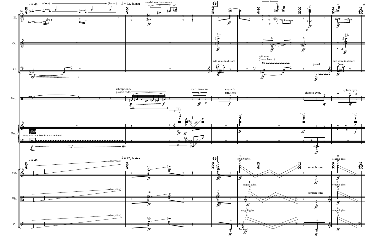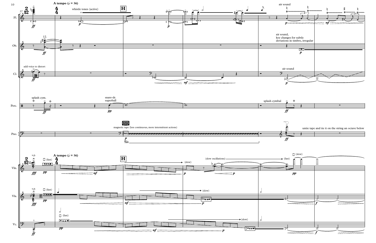![](_page_13_Figure_0.jpeg)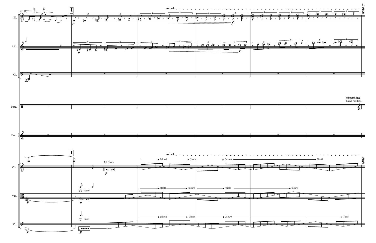![](_page_14_Figure_0.jpeg)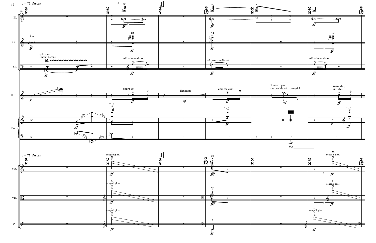![](_page_15_Figure_0.jpeg)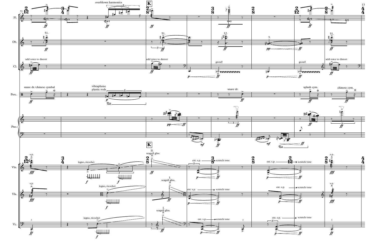![](_page_16_Figure_0.jpeg)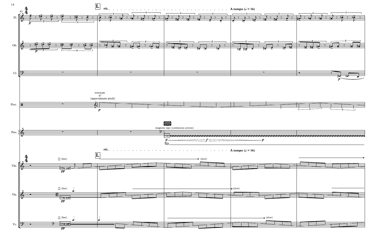![](_page_17_Figure_0.jpeg)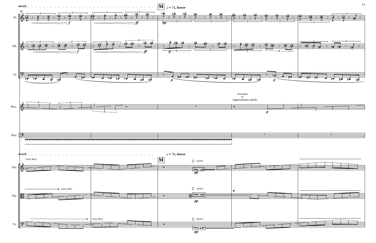![](_page_18_Figure_0.jpeg)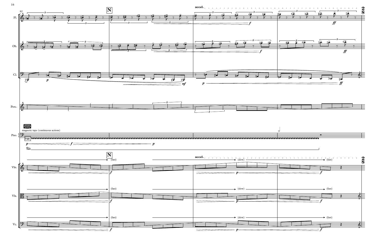![](_page_19_Figure_0.jpeg)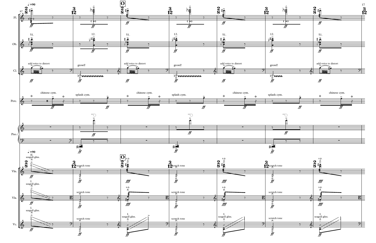![](_page_20_Figure_0.jpeg)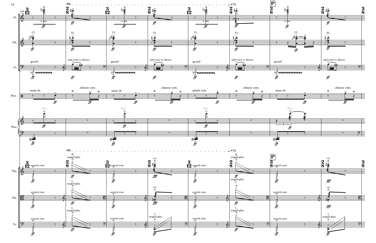![](_page_21_Figure_0.jpeg)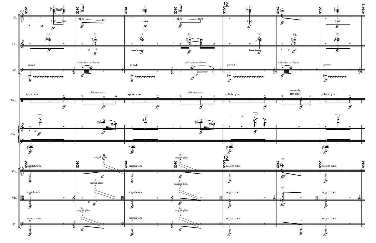![](_page_22_Figure_0.jpeg)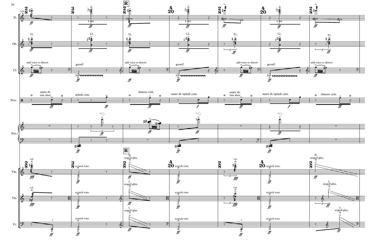![](_page_23_Figure_0.jpeg)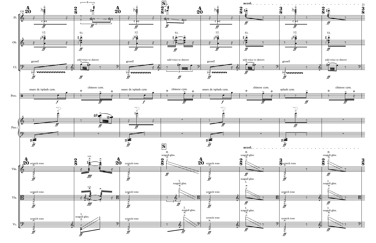![](_page_24_Figure_0.jpeg)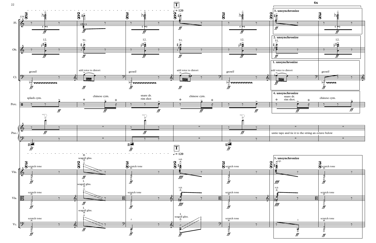![](_page_25_Figure_0.jpeg)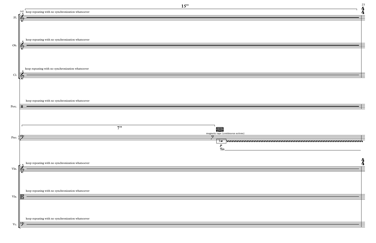|       |              | 15"                                                                 |
|-------|--------------|---------------------------------------------------------------------|
| Fl.   |              | $141$ keep repeating with no synchronization whatsoever             |
|       |              | keep repeating with no synchronization whatsoever                   |
| Ob.   |              |                                                                     |
| Cl.   |              | keep repeating with no synchronization whatsoever                   |
|       |              |                                                                     |
| Perc. | $\mathbf{H}$ | keep repeating with no synchronization whatsoever                   |
|       |              | 7"<br>$\overline{\text{OLO}}$<br>magnetic tape (continuous actions) |
| Pno.  |              | <del>be</del> www.www.www.ww<br>$\frac{p}{2}$ ed.                   |
|       |              | keep repeating with no synchronization whatsoever                   |
| Vln.  |              |                                                                     |
| Vla.  |              | keep repeating with no synchronization whatsoever                   |
|       |              |                                                                     |
| Vc.   |              | keep repeating with no synchronization whatsoever                   |
|       |              |                                                                     |

![](_page_26_Figure_1.jpeg)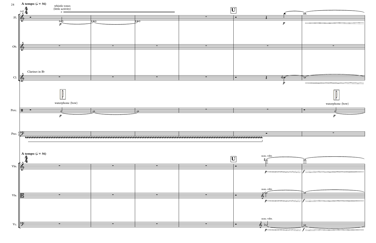![](_page_27_Figure_0.jpeg)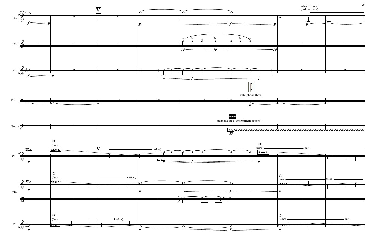![](_page_28_Figure_0.jpeg)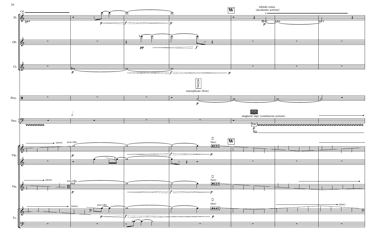![](_page_29_Figure_0.jpeg)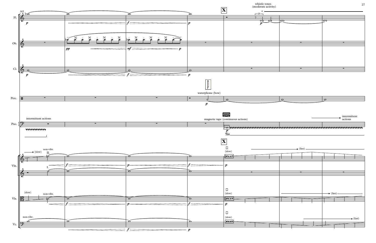![](_page_30_Figure_1.jpeg)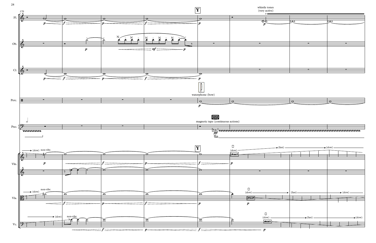![](_page_31_Figure_0.jpeg)

28

|                  | $\overline{(*)}$ |
|------------------|------------------|
| $\overline{(*)}$ |                  |
|                  |                  |
|                  |                  |
|                  |                  |
|                  |                  |
|                  |                  |
|                  |                  |
|                  |                  |
|                  |                  |
|                  |                  |
|                  |                  |
|                  |                  |
|                  |                  |
|                  |                  |
|                  |                  |
|                  |                  |
|                  |                  |
|                  |                  |
|                  |                  |
|                  |                  |
|                  |                  |
|                  |                  |
|                  |                  |
| ▬                | ▬                |
|                  |                  |
|                  |                  |
|                  |                  |
|                  |                  |
|                  |                  |
|                  |                  |
|                  |                  |
|                  |                  |
|                  |                  |
|                  |                  |
|                  |                  |
|                  |                  |
|                  |                  |
|                  |                  |
|                  |                  |
|                  |                  |
|                  |                  |
|                  |                  |
|                  |                  |
|                  |                  |
|                  |                  |
|                  |                  |
|                  |                  |
|                  |                  |
|                  |                  |
|                  |                  |
| ▬                | ▬                |
|                  |                  |
|                  |                  |
|                  |                  |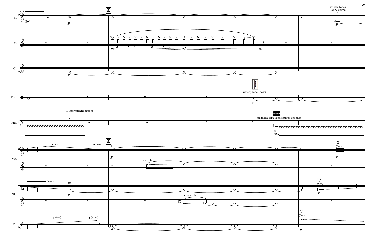![](_page_32_Figure_0.jpeg)

![](_page_32_Figure_1.jpeg)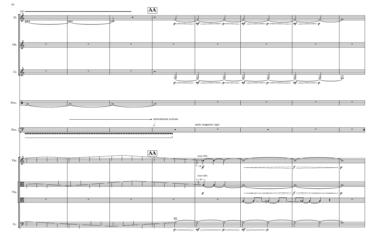![](_page_33_Figure_0.jpeg)

30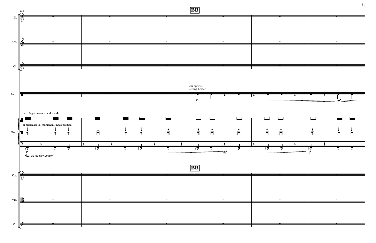![](_page_34_Figure_0.jpeg)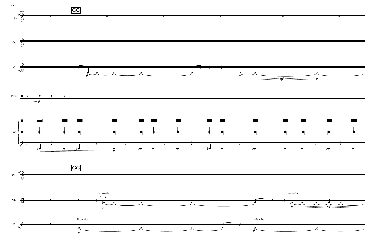![](_page_35_Figure_0.jpeg)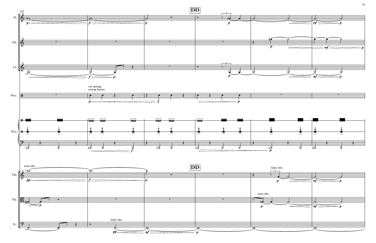![](_page_36_Figure_0.jpeg)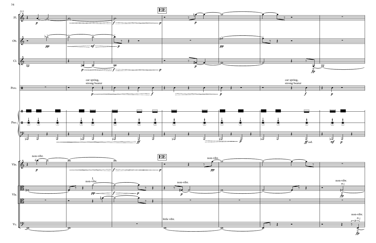![](_page_37_Figure_0.jpeg)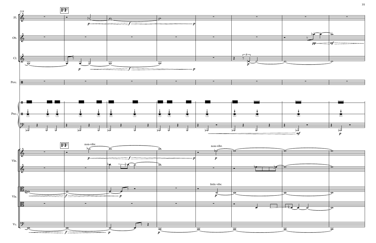![](_page_38_Figure_0.jpeg)